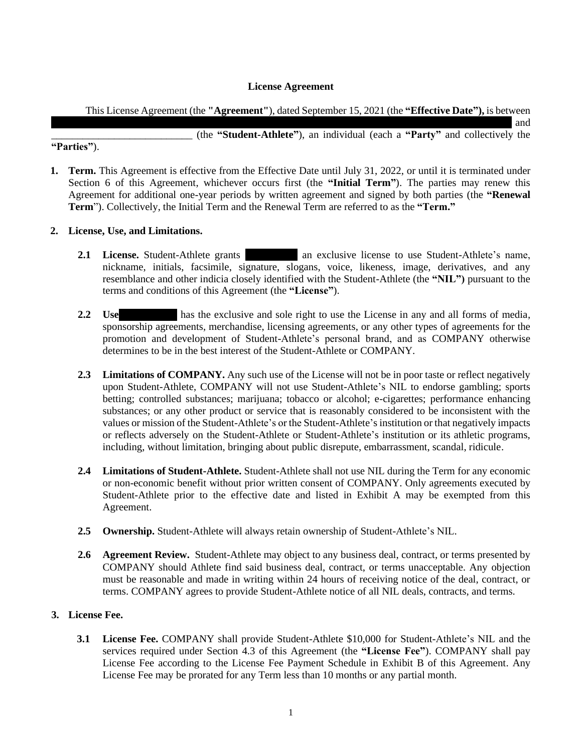## **License Agreement**

This License Agreement (the **"Agreement"**), dated September 15, 2021 (the **"Effective Date"),** is between

Parker VanHorn, LLC, a Mississippi limited liability company, d/b/a The Legacy Group (**"COMPANY"**) and \_\_\_\_\_\_\_\_\_\_\_\_\_\_\_\_\_\_\_\_\_\_\_\_\_\_\_ (the **"Student-Athlete"**), an individual (each a **"Party"** and collectively the

# **"Parties"**).

**1. Term.** This Agreement is effective from the Effective Date until July 31, 2022, or until it is terminated under Section 6 of this Agreement, whichever occurs first (the **"Initial Term"**). The parties may renew this Agreement for additional one-year periods by written agreement and signed by both parties (the **"Renewal Term**"). Collectively, the Initial Term and the Renewal Term are referred to as the **"Term."**

## **2. License, Use, and Limitations.**

- **2.1 License.** Student-Athlete grants an exclusive license to use Student-Athlete's name, nickname, initials, facsimile, signature, slogans, voice, likeness, image, derivatives, and any resemblance and other indicia closely identified with the Student-Athlete (the **"NIL")** pursuant to the terms and conditions of this Agreement (the **"License"**).
- **2.2 Use.** COMPANY has the exclusive and sole right to use the License in any and all forms of media, sponsorship agreements, merchandise, licensing agreements, or any other types of agreements for the promotion and development of Student-Athlete's personal brand, and as COMPANY otherwise determines to be in the best interest of the Student-Athlete or COMPANY.
- **2.3 Limitations of COMPANY.** Any such use of the License will not be in poor taste or reflect negatively upon Student-Athlete, COMPANY will not use Student-Athlete's NIL to endorse gambling; sports betting; controlled substances; marijuana; tobacco or alcohol; e-cigarettes; performance enhancing substances; or any other product or service that is reasonably considered to be inconsistent with the values or mission of the Student-Athlete's or the Student-Athlete's institution or that negatively impacts or reflects adversely on the Student-Athlete or Student-Athlete's institution or its athletic programs, including, without limitation, bringing about public disrepute, embarrassment, scandal, ridicule.
- **2.4 Limitations of Student-Athlete.** Student-Athlete shall not use NIL during the Term for any economic or non-economic benefit without prior written consent of COMPANY. Only agreements executed by Student-Athlete prior to the effective date and listed in Exhibit A may be exempted from this Agreement.
- **2.5 Ownership.** Student-Athlete will always retain ownership of Student-Athlete's NIL.
- **2.6 Agreement Review.** Student-Athlete may object to any business deal, contract, or terms presented by COMPANY should Athlete find said business deal, contract, or terms unacceptable. Any objection must be reasonable and made in writing within 24 hours of receiving notice of the deal, contract, or terms. COMPANY agrees to provide Student-Athlete notice of all NIL deals, contracts, and terms.

### **3. License Fee.**

**3.1 License Fee.** COMPANY shall provide Student-Athlete \$10,000 for Student-Athlete's NIL and the services required under Section 4.3 of this Agreement (the **"License Fee"**). COMPANY shall pay License Fee according to the License Fee Payment Schedule in Exhibit B of this Agreement. Any License Fee may be prorated for any Term less than 10 months or any partial month.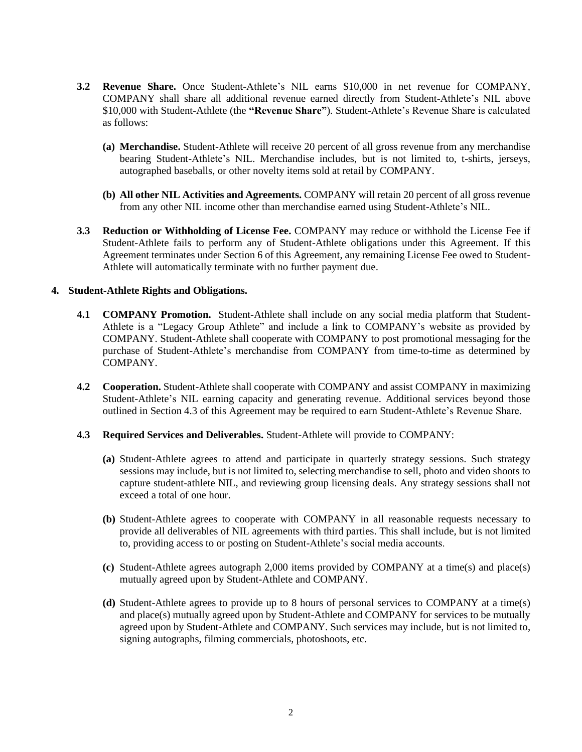- **3.2 Revenue Share.** Once Student-Athlete's NIL earns \$10,000 in net revenue for COMPANY, COMPANY shall share all additional revenue earned directly from Student-Athlete's NIL above \$10,000 with Student-Athlete (the **"Revenue Share"**). Student-Athlete's Revenue Share is calculated as follows:
	- **(a) Merchandise.** Student-Athlete will receive 20 percent of all gross revenue from any merchandise bearing Student-Athlete's NIL. Merchandise includes, but is not limited to, t-shirts, jerseys, autographed baseballs, or other novelty items sold at retail by COMPANY.
	- **(b) All other NIL Activities and Agreements.** COMPANY will retain 20 percent of all gross revenue from any other NIL income other than merchandise earned using Student-Athlete's NIL.
- **3.3 Reduction or Withholding of License Fee.** COMPANY may reduce or withhold the License Fee if Student-Athlete fails to perform any of Student-Athlete obligations under this Agreement. If this Agreement terminates under Section 6 of this Agreement, any remaining License Fee owed to Student-Athlete will automatically terminate with no further payment due.

#### **4. Student-Athlete Rights and Obligations.**

- **4.1 COMPANY Promotion.** Student-Athlete shall include on any social media platform that Student-Athlete is a "Legacy Group Athlete" and include a link to COMPANY's website as provided by COMPANY. Student-Athlete shall cooperate with COMPANY to post promotional messaging for the purchase of Student-Athlete's merchandise from COMPANY from time-to-time as determined by COMPANY.
- **4.2 Cooperation.** Student-Athlete shall cooperate with COMPANY and assist COMPANY in maximizing Student-Athlete's NIL earning capacity and generating revenue. Additional services beyond those outlined in Section 4.3 of this Agreement may be required to earn Student-Athlete's Revenue Share.
- **4.3 Required Services and Deliverables.** Student-Athlete will provide to COMPANY:
	- **(a)** Student-Athlete agrees to attend and participate in quarterly strategy sessions. Such strategy sessions may include, but is not limited to, selecting merchandise to sell, photo and video shoots to capture student-athlete NIL, and reviewing group licensing deals. Any strategy sessions shall not exceed a total of one hour.
	- **(b)** Student-Athlete agrees to cooperate with COMPANY in all reasonable requests necessary to provide all deliverables of NIL agreements with third parties. This shall include, but is not limited to, providing access to or posting on Student-Athlete's social media accounts.
	- **(c)** Student-Athlete agrees autograph 2,000 items provided by COMPANY at a time(s) and place(s) mutually agreed upon by Student-Athlete and COMPANY.
	- **(d)** Student-Athlete agrees to provide up to 8 hours of personal services to COMPANY at a time(s) and place(s) mutually agreed upon by Student-Athlete and COMPANY for services to be mutually agreed upon by Student-Athlete and COMPANY. Such services may include, but is not limited to, signing autographs, filming commercials, photoshoots, etc.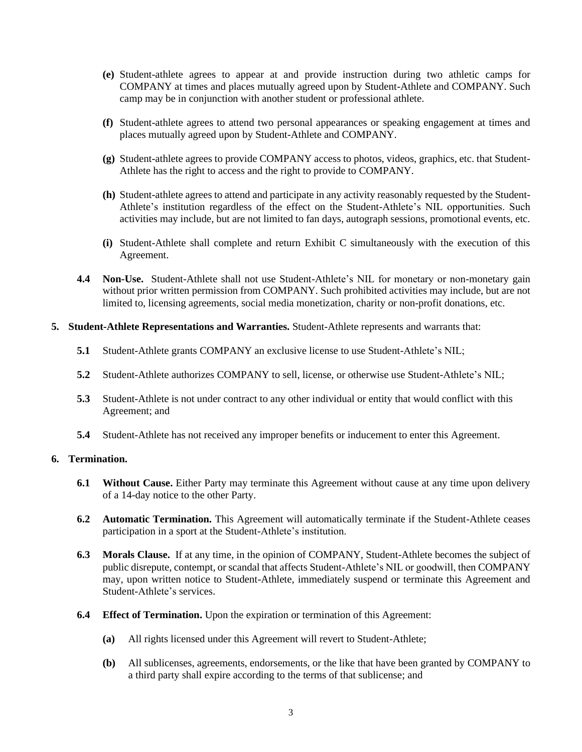- **(e)** Student-athlete agrees to appear at and provide instruction during two athletic camps for COMPANY at times and places mutually agreed upon by Student-Athlete and COMPANY. Such camp may be in conjunction with another student or professional athlete.
- **(f)** Student-athlete agrees to attend two personal appearances or speaking engagement at times and places mutually agreed upon by Student-Athlete and COMPANY.
- **(g)** Student-athlete agrees to provide COMPANY access to photos, videos, graphics, etc. that Student-Athlete has the right to access and the right to provide to COMPANY.
- **(h)** Student-athlete agrees to attend and participate in any activity reasonably requested by the Student-Athlete's institution regardless of the effect on the Student-Athlete's NIL opportunities. Such activities may include, but are not limited to fan days, autograph sessions, promotional events, etc.
- **(i)** Student-Athlete shall complete and return Exhibit C simultaneously with the execution of this Agreement.
- **4.4 Non-Use.** Student-Athlete shall not use Student-Athlete's NIL for monetary or non-monetary gain without prior written permission from COMPANY. Such prohibited activities may include, but are not limited to, licensing agreements, social media monetization, charity or non-profit donations, etc.
- **5. Student-Athlete Representations and Warranties.** Student-Athlete represents and warrants that:
	- **5.1** Student-Athlete grants COMPANY an exclusive license to use Student-Athlete's NIL;
	- **5.2** Student-Athlete authorizes COMPANY to sell, license, or otherwise use Student-Athlete's NIL;
	- **5.3** Student-Athlete is not under contract to any other individual or entity that would conflict with this Agreement; and
	- **5.4** Student-Athlete has not received any improper benefits or inducement to enter this Agreement.

## **6. Termination.**

- **6.1 Without Cause.** Either Party may terminate this Agreement without cause at any time upon delivery of a 14-day notice to the other Party.
- **6.2 Automatic Termination.** This Agreement will automatically terminate if the Student-Athlete ceases participation in a sport at the Student-Athlete's institution.
- **6.3 Morals Clause.** If at any time, in the opinion of COMPANY, Student-Athlete becomes the subject of public disrepute, contempt, or scandal that affects Student-Athlete's NIL or goodwill, then COMPANY may, upon written notice to Student-Athlete, immediately suspend or terminate this Agreement and Student-Athlete's services.
- **6.4 Effect of Termination.** Upon the expiration or termination of this Agreement:
	- **(a)** All rights licensed under this Agreement will revert to Student-Athlete;
	- **(b)** All sublicenses, agreements, endorsements, or the like that have been granted by COMPANY to a third party shall expire according to the terms of that sublicense; and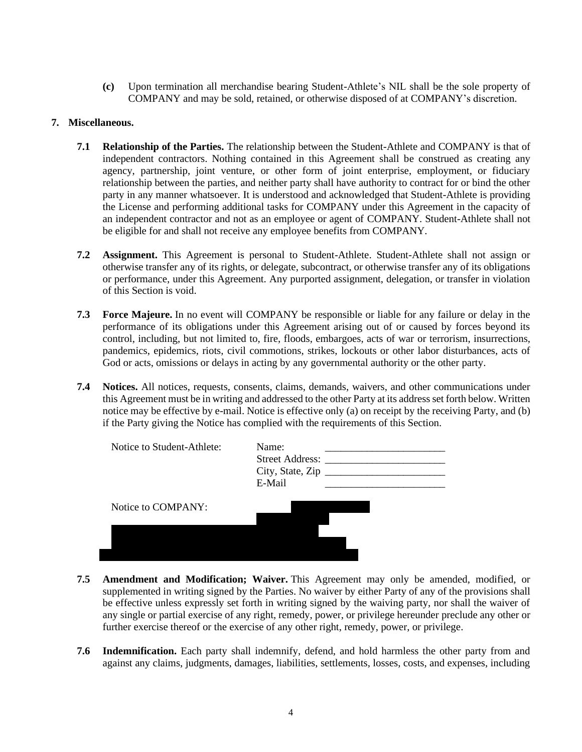**(c)** Upon termination all merchandise bearing Student-Athlete's NIL shall be the sole property of COMPANY and may be sold, retained, or otherwise disposed of at COMPANY's discretion.

### **7. Miscellaneous.**

- **7.1 Relationship of the Parties.** The relationship between the Student-Athlete and COMPANY is that of independent contractors. Nothing contained in this Agreement shall be construed as creating any agency, partnership, joint venture, or other form of joint enterprise, employment, or fiduciary relationship between the parties, and neither party shall have authority to contract for or bind the other party in any manner whatsoever. It is understood and acknowledged that Student-Athlete is providing the License and performing additional tasks for COMPANY under this Agreement in the capacity of an independent contractor and not as an employee or agent of COMPANY. Student-Athlete shall not be eligible for and shall not receive any employee benefits from COMPANY.
- **7.2 Assignment.** This Agreement is personal to Student-Athlete. Student-Athlete shall not assign or otherwise transfer any of its rights, or delegate, subcontract, or otherwise transfer any of its obligations or performance, under this Agreement. Any purported assignment, delegation, or transfer in violation of this Section is void.
- **7.3 Force Majeure.** In no event will COMPANY be responsible or liable for any failure or delay in the performance of its obligations under this Agreement arising out of or caused by forces beyond its control, including, but not limited to, fire, floods, embargoes, acts of war or terrorism, insurrections, pandemics, epidemics, riots, civil commotions, strikes, lockouts or other labor disturbances, acts of God or acts, omissions or delays in acting by any governmental authority or the other party.
- **7.4 Notices.** All notices, requests, consents, claims, demands, waivers, and other communications under this Agreement must be in writing and addressed to the other Party at its address set forth below. Written notice may be effective by e-mail. Notice is effective only (a) on receipt by the receiving Party, and (b) if the Party giving the Notice has complied with the requirements of this Section.

| Notice to Student-Athlete: | Name:<br><b>Street Address:</b><br>City, State, Zip<br>E-Mail |  |
|----------------------------|---------------------------------------------------------------|--|
| Notice to COMPANY:         |                                                               |  |
|                            |                                                               |  |

- **7.5 Amendment and Modification; Waiver.** This Agreement may only be amended, modified, or supplemented in writing signed by the Parties. No waiver by either Party of any of the provisions shall be effective unless expressly set forth in writing signed by the waiving party, nor shall the waiver of any single or partial exercise of any right, remedy, power, or privilege hereunder preclude any other or further exercise thereof or the exercise of any other right, remedy, power, or privilege.
- **7.6 Indemnification.** Each party shall indemnify, defend, and hold harmless the other party from and against any claims, judgments, damages, liabilities, settlements, losses, costs, and expenses, including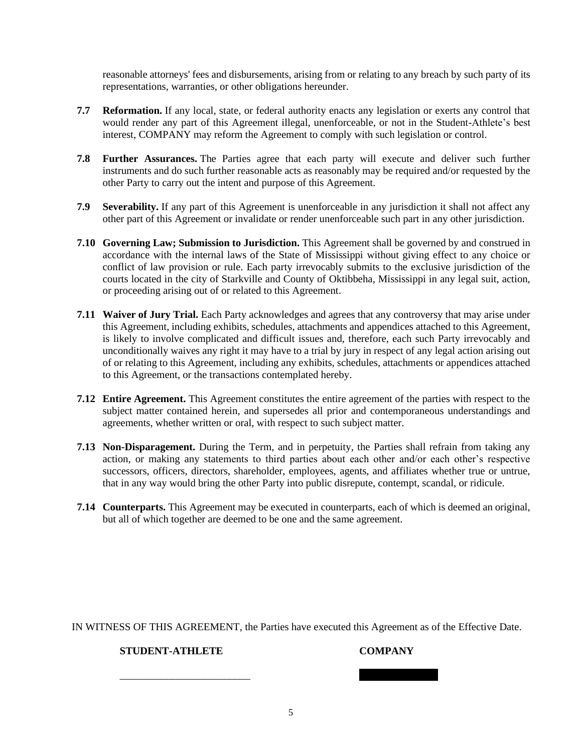reasonable attorneys' fees and disbursements, arising from or relating to any breach by such party of its representations, warranties, or other obligations hereunder.

- **7.7 Reformation.** If any local, state, or federal authority enacts any legislation or exerts any control that would render any part of this Agreement illegal, unenforceable, or not in the Student-Athlete's best interest, COMPANY may reform the Agreement to comply with such legislation or control.
- **7.8 Further Assurances.** The Parties agree that each party will execute and deliver such further instruments and do such further reasonable acts as reasonably may be required and/or requested by the other Party to carry out the intent and purpose of this Agreement.
- **7.9 Severability.** If any part of this Agreement is unenforceable in any jurisdiction it shall not affect any other part of this Agreement or invalidate or render unenforceable such part in any other jurisdiction.
- **7.10 Governing Law; Submission to Jurisdiction.** This Agreement shall be governed by and construed in accordance with the internal laws of the State of Mississippi without giving effect to any choice or conflict of law provision or rule. Each party irrevocably submits to the exclusive jurisdiction of the courts located in the city of Starkville and County of Oktibbeha, Mississippi in any legal suit, action, or proceeding arising out of or related to this Agreement.
- **7.11 Waiver of Jury Trial.** Each Party acknowledges and agrees that any controversy that may arise under this Agreement, including exhibits, schedules, attachments and appendices attached to this Agreement, is likely to involve complicated and difficult issues and, therefore, each such Party irrevocably and unconditionally waives any right it may have to a trial by jury in respect of any legal action arising out of or relating to this Agreement, including any exhibits, schedules, attachments or appendices attached to this Agreement, or the transactions contemplated hereby.
- **7.12 Entire Agreement.** This Agreement constitutes the entire agreement of the parties with respect to the subject matter contained herein, and supersedes all prior and contemporaneous understandings and agreements, whether written or oral, with respect to such subject matter.
- **7.13 Non-Disparagement.** During the Term, and in perpetuity, the Parties shall refrain from taking any action, or making any statements to third parties about each other and/or each other's respective successors, officers, directors, shareholder, employees, agents, and affiliates whether true or untrue, that in any way would bring the other Party into public disrepute, contempt, scandal, or ridicule.
- **7.14 Counterparts.** This Agreement may be executed in counterparts, each of which is deemed an original, but all of which together are deemed to be one and the same agreement.

IN WITNESS OF THIS AGREEMENT, the Parties have executed this Agreement as of the Effective Date.

### **STUDENT-ATHLETE COMPANY**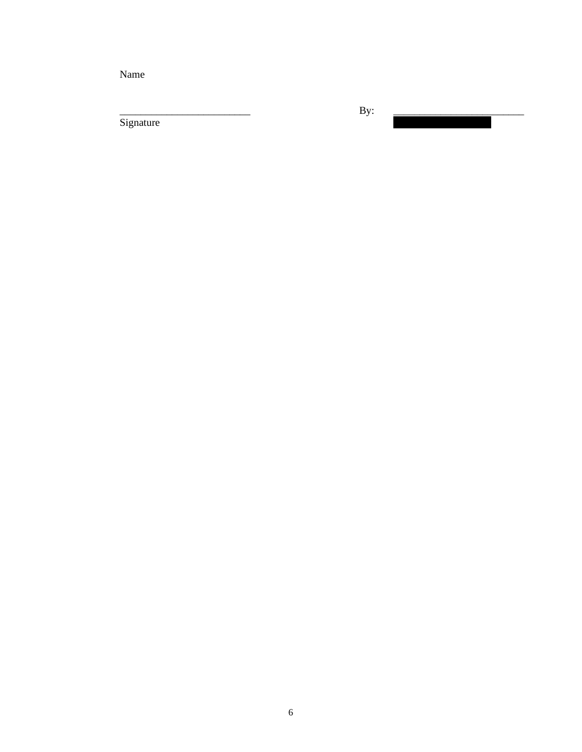Name

\_\_\_\_\_\_\_\_\_\_\_\_\_\_\_\_\_\_\_\_\_\_\_\_\_ By: \_\_\_\_\_\_\_\_\_\_\_\_\_\_\_\_\_\_\_\_\_\_\_\_\_ Signature Lee Van Horn, Members, Members, Members, Members, Members, Members, Members, Members, Members, Members, Members, Members, Members, Members, Members, Members, Members, Members, Members, Members, Members, Members,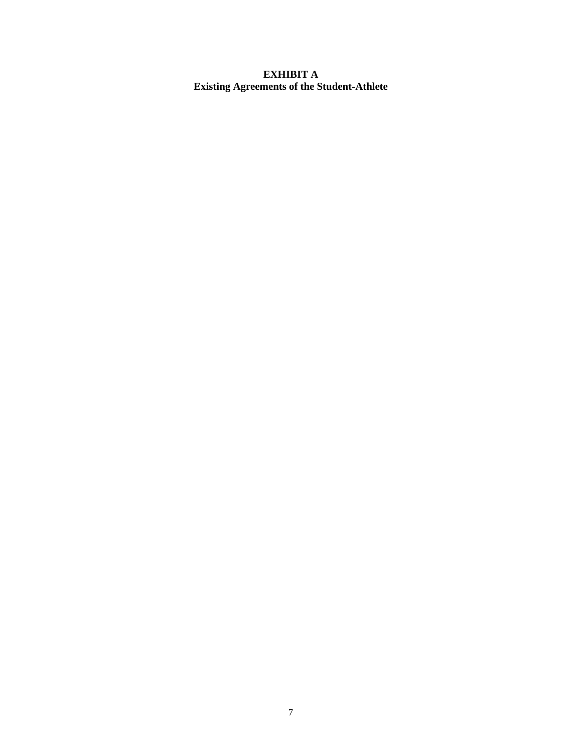# **EXHIBIT A Existing Agreements of the Student-Athlete**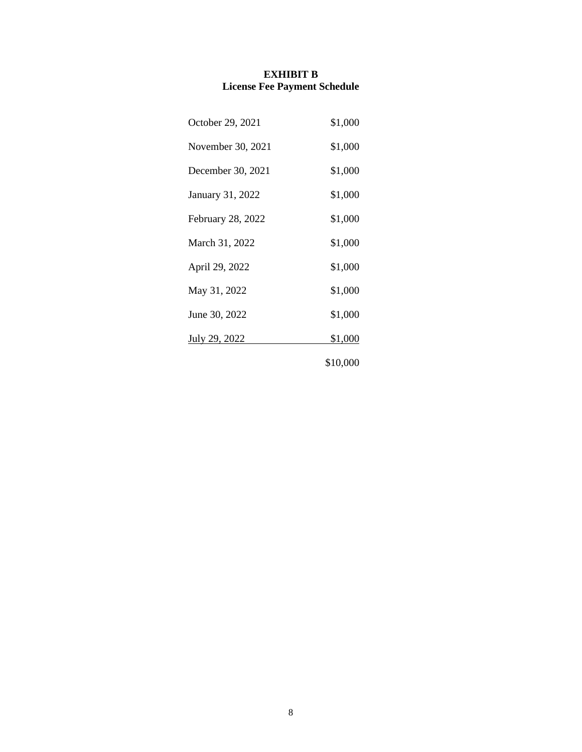#### **EXHIBIT B License Fee Payment Schedule**

| October 29, 2021  | \$1,000  |
|-------------------|----------|
| November 30, 2021 | \$1,000  |
| December 30, 2021 | \$1,000  |
| January 31, 2022  | \$1,000  |
| February 28, 2022 | \$1,000  |
| March 31, 2022    | \$1,000  |
| April 29, 2022    | \$1,000  |
| May 31, 2022      | \$1,000  |
| June 30, 2022     | \$1,000  |
| July 29, 2022     | \$1,000  |
|                   | \$10,000 |